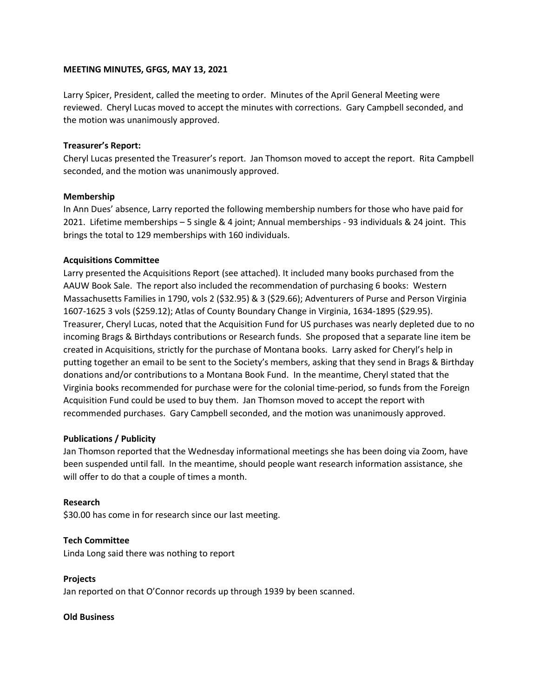## **MEETING MINUTES, GFGS, MAY 13, 2021**

Larry Spicer, President, called the meeting to order. Minutes of the April General Meeting were reviewed. Cheryl Lucas moved to accept the minutes with corrections. Gary Campbell seconded, and the motion was unanimously approved.

## **Treasurer's Report:**

Cheryl Lucas presented the Treasurer's report. Jan Thomson moved to accept the report. Rita Campbell seconded, and the motion was unanimously approved.

## **Membership**

In Ann Dues' absence, Larry reported the following membership numbers for those who have paid for 2021. Lifetime memberships – 5 single & 4 joint; Annual memberships - 93 individuals & 24 joint. This brings the total to 129 memberships with 160 individuals.

## **Acquisitions Committee**

Larry presented the Acquisitions Report (see attached). It included many books purchased from the AAUW Book Sale. The report also included the recommendation of purchasing 6 books: Western Massachusetts Families in 1790, vols 2 (\$32.95) & 3 (\$29.66); Adventurers of Purse and Person Virginia 1607-1625 3 vols (\$259.12); Atlas of County Boundary Change in Virginia, 1634-1895 (\$29.95). Treasurer, Cheryl Lucas, noted that the Acquisition Fund for US purchases was nearly depleted due to no incoming Brags & Birthdays contributions or Research funds. She proposed that a separate line item be created in Acquisitions, strictly for the purchase of Montana books. Larry asked for Cheryl's help in putting together an email to be sent to the Society's members, asking that they send in Brags & Birthday donations and/or contributions to a Montana Book Fund. In the meantime, Cheryl stated that the Virginia books recommended for purchase were for the colonial time-period, so funds from the Foreign Acquisition Fund could be used to buy them. Jan Thomson moved to accept the report with recommended purchases. Gary Campbell seconded, and the motion was unanimously approved.

## **Publications / Publicity**

Jan Thomson reported that the Wednesday informational meetings she has been doing via Zoom, have been suspended until fall. In the meantime, should people want research information assistance, she will offer to do that a couple of times a month.

#### **Research**

\$30.00 has come in for research since our last meeting.

#### **Tech Committee**

Linda Long said there was nothing to report

## **Projects**

Jan reported on that O'Connor records up through 1939 by been scanned.

#### **Old Business**